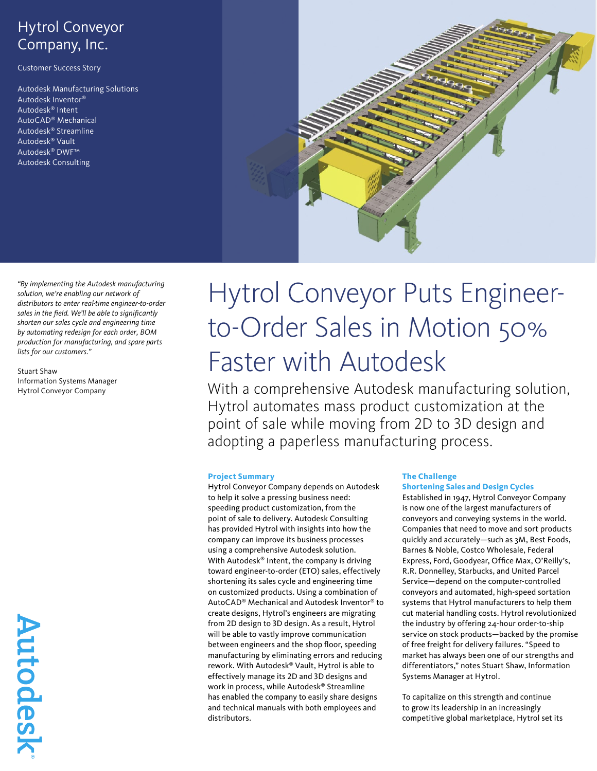# Hytrol Conveyor Company, Inc.

Customer Success Story

Autodesk Manufacturing Solutions Autodesk Inventor® Autodesk® Intent AutoCAD® Mechanical Autodesk® Streamline Autodesk® Vault Autodesk® DWF™ Autodesk Consulting



*"By implementing the Autodesk manufacturing solution, we're enabling our network of distributors to enter real-time engineer-to-order sales in the field. We'll be able to significantly shorten our sales cycle and engineering time by automating redesign for each order, BOM production for manufacturing, and spare parts lists for our customers."* 

Stuart Shaw Information Systems Manager Hytrol Conveyor Company

# Hytrol Conveyor Puts Engineerto-Order Sales in Motion 50% Faster with Autodesk

With a comprehensive Autodesk manufacturing solution, Hytrol automates mass product customization at the point of sale while moving from 2D to 3D design and adopting a paperless manufacturing process.

#### **Project Summary**

Hytrol Conveyor Company depends on Autodesk to help it solve a pressing business need: speeding product customization, from the point of sale to delivery. Autodesk Consulting has provided Hytrol with insights into how the company can improve its business processes using a comprehensive Autodesk solution. With Autodesk® Intent, the company is driving toward engineer-to-order (ETO) sales, effectively shortening its sales cycle and engineering time on customized products. Using a combination of AutoCAD® Mechanical and Autodesk Inventor® to create designs, Hytrol's engineers are migrating from 2D design to 3D design. As a result, Hytrol will be able to vastly improve communication between engineers and the shop floor, speeding manufacturing by eliminating errors and reducing rework. With Autodesk® Vault, Hytrol is able to effectively manage its 2D and 3D designs and work in process, while Autodesk® Streamline has enabled the company to easily share designs and technical manuals with both employees and distributors.

#### **The Challenge**

#### **Shortening Sales and Design Cycles**

Established in 1947, Hytrol Conveyor Company is now one of the largest manufacturers of conveyors and conveying systems in the world. Companies that need to move and sort products quickly and accurately—such as 3M, Best Foods, Barnes & Noble, Costco Wholesale, Federal Express, Ford, Goodyear, Office Max, O'Reilly's, R.R. Donnelley, Starbucks, and United Parcel Service—depend on the computer-controlled conveyors and automated, high-speed sortation systems that Hytrol manufacturers to help them cut material handling costs. Hytrol revolutionized the industry by offering 24-hour order-to-ship service on stock products—backed by the promise of free freight for delivery failures. "Speed to market has always been one of our strengths and differentiators," notes Stuart Shaw, Information Systems Manager at Hytrol.

To capitalize on this strength and continue to grow its leadership in an increasingly competitive global marketplace, Hytrol set its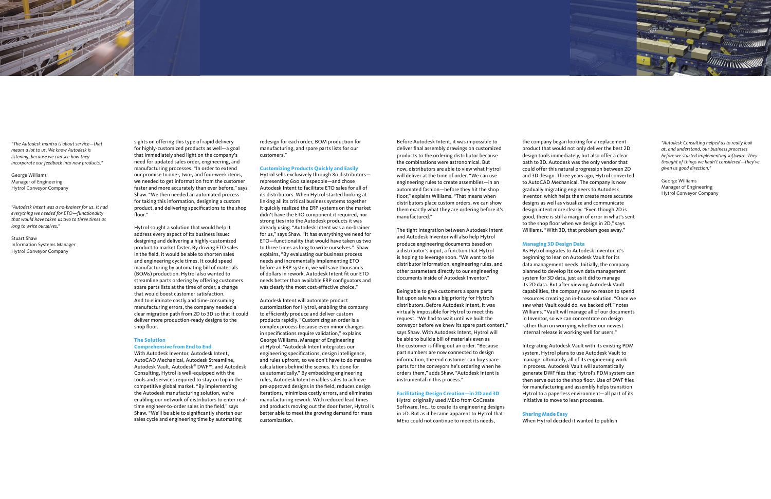sights on offering this type of rapid delivery for highly-customized products as well—a goal that immediately shed light on the company's need for updated sales order, engineering, and manufacturing processes. "In order to extend our promise to one-, two-, and four-week items, we needed to get information from the customer faster and more accurately than ever before," says Shaw. "We then needed an automated process for taking this information, designing a custom product, and delivering specifications to the shop

floor."

Hytrol sought a solution that would help it address every aspect of its business issue: designing and delivering a highly-customized product to market faster. By driving ETO sales in the field, it would be able to shorten sales and engineering cycle times. It could speed manufacturing by automating bill of materials (BOMs) production. Hytrol also wanted to streamline parts ordering by offering customers spare parts lists at the time of order, a change that would boost customer satisfaction. And to eliminate costly and time-consuming manufacturing errors, the company needed a clear migration path from 2D to 3D so that it could deliver more production-ready designs to the shop floor.

#### **The Solution**

#### **Comprehensive from End to End**

With Autodesk Inventor, Autodesk Intent, AutoCAD Mechanical, Autodesk Streamline, Autodesk Vault, Autodesk® DWF™, and Autodesk Consulting, Hytrol is well-equipped with the tools and services required to stay on top in the competitive global market. "By implementing the Autodesk manufacturing solution, we're enabling our network of distributors to enter realtime engineer-to-order sales in the field," says Shaw. "We'll be able to significantly shorten our sales cycle and engineering time by automating

redesign for each order, BOM production for manufacturing, and spare parts lists for our customers."

#### **Customizing Products Quickly and Easily**

Hytrol sells exclusively through 80 distributors representing 600 salespeople—and chose Autodesk Intent to facilitate ETO sales for all of its distributors. When Hytrol started looking at linking all its critical business systems together it quickly realized the ERP systems on the market didn't have the ETO component it required, nor strong ties into the Autodesk products it was already using. "Autodesk Intent was a no-brainer for us," says Shaw. "It has everything we need for ETO—functionality that would have taken us two to three times as long to write ourselves." Shaw explains, "By evaluating our business process needs and incrementally implementing ETO before an ERP system, we will save thousands of dollars in rework. Autodesk Intent fit our ETO needs better than available ERP configuators and was clearly the most cost-effective choice."

Autodesk Intent will automate product customization for Hytrol, enabling the company to efficiently produce and deliver custom products rapidly. "Customizing an order is a complex process because even minor changes in specifications require validation," explains George Williams, Manager of Engineering at Hytrol. "Autodesk Intent integrates our engineering specifications, design intelligence, and rules upfront, so we don't have to do massive calculations behind the scenes. It's done for us automatically." By embedding engineering rules, Autodesk Intent enables sales to achieve pre-approved designs in the field, reduces design iterations, minimizes costly errors, and eliminates manufacturing rework. With reduced lead times and products moving out the door faster, Hytrol is better able to meet the growing demand for mass customization.

Before Autodesk Intent, it was impossible to deliver final assembly drawings on customized products to the ordering distributor because the combinations were astronomical. But now, distributors are able to view what Hytrol will deliver at the time of order. "We can use engineering rules to create assemblies—in an automated fashion—before they hit the shop floor," explains Williams. "That means when distributors place custom orders, we can show them exactly what they are ordering before it's manufactured."

The tight integration between Autodesk Intent and Autodesk Inventor will also help Hytrol produce engineering documents based on a distributor's input, a function that Hytrol is hoping to leverage soon. "We want to tie distributor information, engineering rules, and other parameters directly to our engineering documents inside of Autodesk Inventor."

Being able to give customers a spare parts list upon sale was a big priority for Hytrol's distributors. Before Autodesk Intent, it was virtually impossible for Hytrol to meet this request. "We had to wait until we built the conveyor before we knew its spare part content," says Shaw. With Autodesk Intent, Hytrol will be able to build a bill of materials even as the customer is filling out an order. "Because part numbers are now connected to design information, the end customer can buy spare parts for the conveyors he's ordering when he orders them," adds Shaw. "Autodesk Intent is instrumental in this process."

#### **Facilitating Design Creation—in 2D and 3D**

Hytrol originally used ME10 from CoCreate Software, Inc., to create its engineering designs in 2D. But as it became apparent to Hytrol that ME10 could not continue to meet its needs,

the company began looking for a replacement product that would not only deliver the best 2D design tools immediately, but also offer a clear path to 3D. Autodesk was the only vendor that could offer this natural progression between 2D and 3D design. Three years ago, Hytrol converted to AutoCAD Mechanical. The company is now gradually migrating engineers to Autodesk Inventor, which helps them create more accurate designs as well as visualize and communicate design intent more clearly. "Even though 2D is good, there is still a margin of error in what's sent to the shop floor when we design in 2D," says Williams. "With 3D, that problem goes away."

#### **Managing 3D Design Data**

As Hytrol migrates to Autodesk Inventor, it's beginning to lean on Autodesk Vault for its data management needs. Initially, the company planned to develop its own data management system for 3D data, just as it did to manage its 2D data. But after viewing Autodesk Vault capabilities, the company saw no reason to spend resources creating an in-house solution. "Once we saw what Vault could do, we backed off," notes Williams. "Vault will manage all of our documents in Inventor, so we can concentrate on design rather than on worrying whether our newest internal release is working well for users."

Integrating Autodesk Vault with its existing PDM system, Hytrol plans to use Autodesk Vault to manage, ultimately, all of its engineering work in process. Autodesk Vault will automatically generate DWF files that Hytrol's PDM system can then serve out to the shop floor. Use of DWF files for manufacturing and assembly helps transition Hytrol to a paperless environment—all part of its initiative to move to lean processes.

**Sharing Made Easy** When Hytrol decided it wanted to publish





*"The Autodesk mantra is about service—that means a lot to us. We know Autodesk is listening, because we can see how they incorporate our feedback into new products."*

George Williams Manager of Engineering Hytrol Conveyor Company

*"Autodesk Intent was a no-brainer for us. It had everything we needed for ETO—functionality that would have taken us two to three times as long to write ourselves."*

Stuart Shaw Information Systems Manager Hytrol Conveyor Company

*"Autodesk Consulting helped us to really look at, and understand, our business processes before we started implementing software. They thought of things we hadn't considered—they've given us good direction."*

George Williams Manager of Engineering Hytrol Conveyor Company